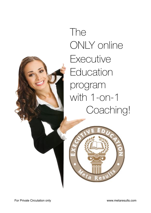

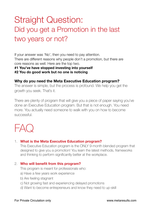# Straight Question: Did you get a Promotion in the last two years or not?

If your answer was 'No', then you need to pay attention. There are different reasons why people don't a promotion, but there are core reasons as well. Here are the top two.

#### **#1 You've have stopped investing into yourself #2 You do good work but no one is noticing**

# **Why do you need the Meta Executive Education program?**

The answer is simple, but the process is profound. We help you get the growth you seek. That's it.

There are plenty of program that will give you a piece of paper saying you've done an Executive Education program. But that is not enough. You need more. You actually need someone to walk with you on how to become successful.



## 1. **What is the Meta Executive Education program?**

This Executive Education program is the ONLY 9-month blended program that designed to give you a promotion! You learn the latest methods, frameworks and thinking to perform significantly better at the workplace.

## 2. **Who will benefit from this program?**

This program is meant for professionals who:

- a) Have a few years work experience
- b) Are feeling stagnant
- c) Not growing fast and experiencing delayed promotions
- d) Want to become entrepreneurs and know they need to up-skill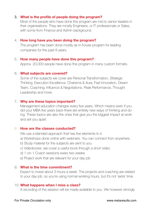## 3. **What is the profile of people doing the program?**

Most of the people who have done this program are mid to senior leaders in their organisations. They are mostly Engineers, or IT professionals or Sales, with some from Finance and Admin background.

## 4. **How long have you been doing the program?**

The program has been done mostly as in-house program for leading companies for the past 8 years.

#### 5. **How many people have done this program?**

Approx. 20,000 people have done this program in many custom formats.

#### 6. **What subjects are covered?**

Some of the subjects we cover are Personal Transformation, Strategic Thinking, Execution Excellence, Charisma & Aura, Fast Innovation, Dream Team, Coaching, Influence & Negotiations, Peak Performance, Thought Leadership and more.

#### 7. **Why are these topics important?**

Management education changes every five years. Which means even if you did your MBA five years back there are entirely new ways of thinking and doing. These topics are also the ones that give you the biggest impact at work and set you apart.

#### 8. **How are the classes conducted?**

We use a blended approach that has five elements to it.

- a) Workshops done online with webinars. You can connect from anywhere.
- b) Study material for the subjects are sent to you
- c) Videobooks: we cover a useful book through a short video
- d) 1-on-1 Coach sessions every two weeks
- e) Project work that are relevant for your day job

#### 9. **What is the time commitment?**

Expect to invest about 3 hours a week. The projects and coaching are related to your day job, so you're using normal working hours, but it's not 'extra' time.

#### 10. **What happens when I miss a class?**

A recording of the session will be made available to you. We however strongly